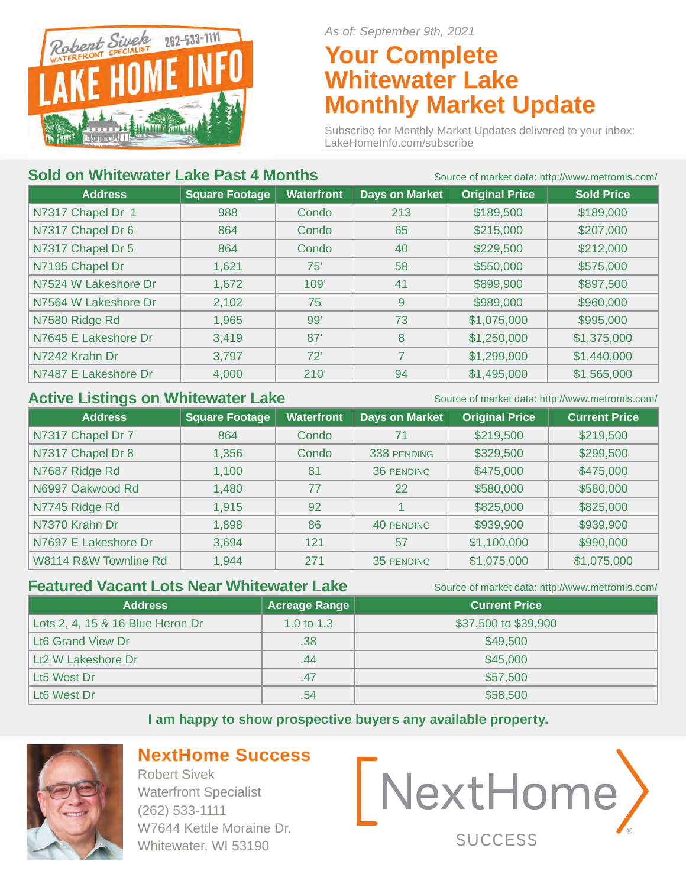

*As of: September 9th, 2021*

# **Your Complete Whitewater Lake Monthly Market Update**

Subscribe for Monthly Market Updates delivered to your inbox: LakeHomeInfo.com/subscribe

# **Sold on Whitewater Lake Past 4 Months** Source of market data: http://www.metromls.com/

| <b>Address</b>       | <b>Square Footage</b> | <b>Waterfront</b> | <b>Days on Market</b> | <b>Original Price</b> | <b>Sold Price</b> |
|----------------------|-----------------------|-------------------|-----------------------|-----------------------|-------------------|
| N7317 Chapel Dr 1    | 988                   | Condo             | 213                   | \$189,500             | \$189,000         |
| N7317 Chapel Dr 6    | 864                   | Condo             | 65                    | \$215,000             | \$207,000         |
| N7317 Chapel Dr 5    | 864                   | Condo             | 40                    | \$229,500             | \$212,000         |
| N7195 Chapel Dr      | 1,621                 | 75'               | 58                    | \$550,000             | \$575,000         |
| N7524 W Lakeshore Dr | 1,672                 | 109'              | 41                    | \$899,900             | \$897,500         |
| N7564 W Lakeshore Dr | 2,102                 | 75                | 9                     | \$989,000             | \$960,000         |
| N7580 Ridge Rd       | 1,965                 | 99'               | 73                    | \$1,075,000           | \$995,000         |
| N7645 E Lakeshore Dr | 3,419                 | 87'               | 8                     | \$1,250,000           | \$1,375,000       |
| N7242 Krahn Dr       | 3,797                 | 72'               | 7                     | \$1,299,900           | \$1,440,000       |
| N7487 E Lakeshore Dr | 4,000                 | 210'              | 94                    | \$1,495,000           | \$1,565,000       |
|                      |                       |                   |                       |                       |                   |

### Active Listings on Whitewater Lake Source of market data: http://www.metromls.com/

| <b>Address</b>        | <b>Square Footage</b> | <b>Waterfront</b> | <b>Days on Market</b> | <b>Original Price</b> | <b>Current Price</b> |
|-----------------------|-----------------------|-------------------|-----------------------|-----------------------|----------------------|
| N7317 Chapel Dr 7     | 864                   | Condo             | 71                    | \$219,500             | \$219,500            |
| N7317 Chapel Dr 8     | 1,356                 | Condo             | 338 PENDING           | \$329,500             | \$299,500            |
| N7687 Ridge Rd        | 1,100                 | 81                | 36 PENDING            | \$475,000             | \$475,000            |
| N6997 Oakwood Rd      | 1,480                 | 77                | 22                    | \$580,000             | \$580,000            |
| N7745 Ridge Rd        | 1,915                 | 92                |                       | \$825,000             | \$825,000            |
| N7370 Krahn Dr        | 1,898                 | 86                | 40 PENDING            | \$939,900             | \$939,900            |
| N7697 E Lakeshore Dr  | 3,694                 | 121               | 57                    | \$1,100,000           | \$990,000            |
| W8114 R&W Townline Rd | 1,944                 | 271               | 35 PENDING            | \$1,075,000           | \$1,075,000          |

## **Featured Vacant Lots Near Whitewater Lake** Source of market data: http://www.metromls.com/

| <b>Address</b>                   | <b>Acreage Range</b> | <b>Current Price</b> |
|----------------------------------|----------------------|----------------------|
| Lots 2, 4, 15 & 16 Blue Heron Dr | 1.0 to $1.3$         | \$37,500 to \$39,900 |
| Lt6 Grand View Dr                | .38                  | \$49,500             |
| Lt <sub>2</sub> W Lakeshore Dr   | .44                  | \$45,000             |
| Lt5 West Dr                      | .47                  | \$57,500             |
| Lt <sub>6</sub> West Dr          | .54                  | \$58,500             |

#### **I am happy to show prospective buyers any available property.**



# **NextHome Success**

Robert Sivek Waterfront Specialist (262) 533-1111 W7644 Kettle Moraine Dr. Whitewater, WI 53190